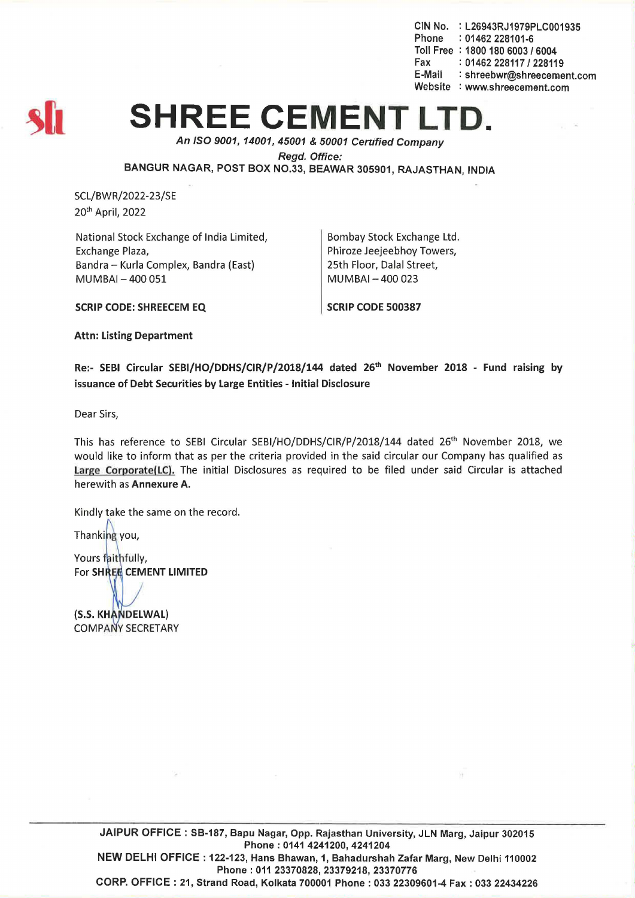CIN No. : L26943RJ1979PLC001935 Phone : 01462 228101-6 Toll Free: 1800 180 6003 / 6004 Fax: 01462 228117 / 228119 E-Mail : shreebwr@shreecement.com Website : www.shreecement.com



## **SHREE CEMENT**

An ISO 9001,14001,45001 & 50001 Cenified Company

Regd. Office:

BANGUR NAGAR, POST BOX NO.33, BEAWAR 305901, RAJASTHAN, INDIA

SCL/BWR/2022-23/SE 20th April, 2022

National Stock Exchange of India Limited, Exchange Plaza, Bandra - Kurla Complex, Bandra (East) MUMBAI- 400 051

Bombay Stock Exchange Ltd. Phiroze Jeejeebhoy Towers, 25th Floor, Dalal Street, MUMBAI-400 023

SCRIP CODE: SHREECEM EQ

SCRIP CODE 500387

Attn: Listing Department

Re:- SEBI Circular SEBI/HO/DDHS/CIR/P/2018/144 dated 26<sup>th</sup> November 2018 - Fund raising by issuance of Debt Securities by Large Entities - Initial Disclosure

Dear Sirs,

This has reference to SEBI Circular SEBI/HO/DDHS/CIR/P/2018/144 dated 26<sup>th</sup> November 2018, we would like to inform that as per the criteria provided in the said circular our Company has qualified as Large Corporate(lC). The initial Disclosures as required to be filed under said Circular is attached herewith as Annexure A.

Kindly take the same on the record.

Thanking you,

Yours faithfully, For SHREE CEMENT LIMITED

(S.S. KHANDELWAL) **COMPANY SECRETARY** 

> JAIPUR OFFICE: SB-187, 8apu Nagar, Opp. Rajasthan University, JLN Marg, Jaipur 302015 Phone: 0141 4241200, 4241204 NEW DELHI OFFICE: 122-123, Hans 8hawan, 1, 8ahadurshah Zafar Marg, New Delhi 110002 Phone: 011 23370828,23379218, 23370776 CORP. OFFICE: 21, Strand Road, Kolkata 700001 Phone: 033 22309601-4 Fax: 033 22434226